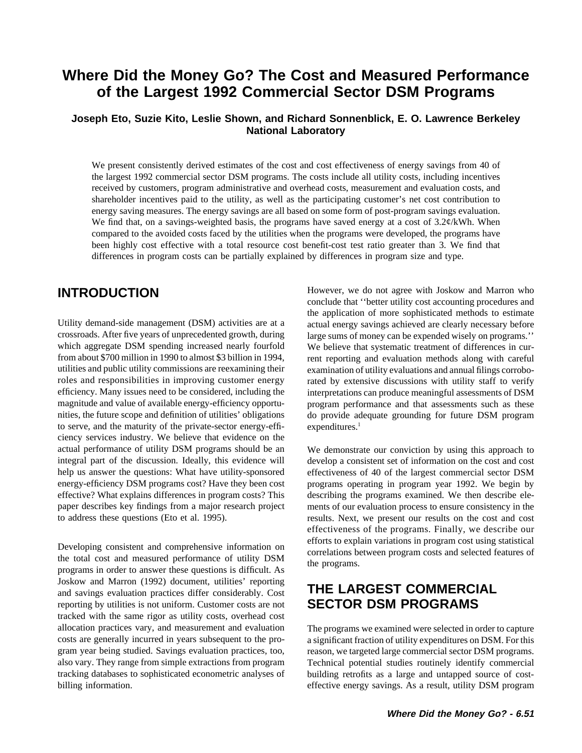## **Where Did the Money Go? The Cost and Measured Performance of the Largest 1992 Commercial Sector DSM Programs**

## **Joseph Eto, Suzie Kito, Leslie Shown, and Richard Sonnenblick, E. O. Lawrence Berkeley National Laboratory**

We present consistently derived estimates of the cost and cost effectiveness of energy savings from 40 of the largest 1992 commercial sector DSM programs. The costs include all utility costs, including incentives received by customers, program administrative and overhead costs, measurement and evaluation costs, and shareholder incentives paid to the utility, as well as the participating customer's net cost contribution to energy saving measures. The energy savings are all based on some form of post-program savings evaluation. We find that, on a savings-weighted basis, the programs have saved energy at a cost of  $3.2\psi$ /kWh. When compared to the avoided costs faced by the utilities when the programs were developed, the programs have been highly cost effective with a total resource cost benefit-cost test ratio greater than 3. We find that differences in program costs can be partially explained by differences in program size and type.

Utility demand-side management (DSM) activities are at a actual energy savings achieved are clearly necessary before crossroads. After five years of unprecedented growth, during large sums of money can be expended wisely o which aggregate DSM spending increased nearly fourfold We believe that systematic treatment of differences in curfrom about \$700 million in 1990 to almost \$3 billion in 1994, rent reporting and evaluation methods along with careful utilities and public utility commissions are reexamining their examination of utility evaluations and annual filings corroboroles and responsibilities in improving customer energy rated by extensive discussions with utility staff to verify efficiency. Many issues need to be considered, including the interpretations can produce meaningful assess magnitude and value of available energy-efficiency opportu- program performance and that assessments such as these nities, the future scope and definition of utilities' obligations do provide adequate grounding for future DSM program to serve, and the maturity of the private-sector energy-effi- expenditures.<sup>1</sup> ciency services industry. We believe that evidence on the actual performance of utility DSM programs should be an We demonstrate our conviction by using this approach to integral part of the discussion. Ideally, this evidence will develop a consistent set of information on the cost and cost help us answer the questions: What have utility-sponsored effectiveness of 40 of the largest commercial sector DSM energy-efficiency DSM programs cost? Have they been cost programs operating in program year 1992. We begin by effective? What explains differences in program costs? This describing the programs examined. We then describe elepaper describes key findings from a major research project ments of our evaluation process to ensure consistency in the to address these questions (Eto et al. 1995). results. Next, we present our results on the cost and cost

Developing consistent and comprehensive information on<br>the total cost and measured performance of utility DSM<br>programs in order to answer these questions is difficult. As Joskow and Marron (1992) document, utilities' reporting and savings evaluation practices differ considerably. Cost **THE LARGEST COMMERCIAL** reporting by utilities is not uniform. Customer costs are not **SECTOR DSM PROGRAMS** tracked with the same rigor as utility costs, overhead cost allocation practices vary, and measurement and evaluation The programs we examined were selected in order to capture costs are generally incurred in years subsequent to the pro- a significant fraction of utility expenditures on DSM. For this gram year being studied. Savings evaluation practices, too, reason, we targeted large commercial sector DSM programs. also vary. They range from simple extractions from program Technical potential studies routinely identify commercial tracking databases to sophisticated econometric analyses of building retrofits as a large and untapped source of costbilling information. The effective energy savings. As a result, utility DSM program

**INTRODUCTION** However, we do not agree with Joskow and Marron who conclude that ''better utility cost accounting procedures and the application of more sophisticated methods to estimate large sums of money can be expended wisely on programs.'' interpretations can produce meaningful assessments of DSM

effectiveness of the programs. Finally, we describe our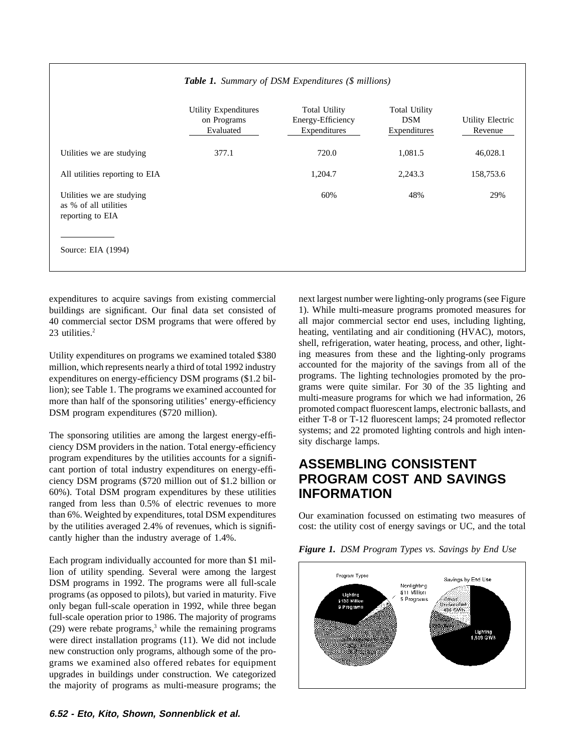|                                                                        | Utility Expenditures<br>on Programs<br>Evaluated | <b>Total Utility</b><br>Energy-Efficiency<br>Expenditures | <b>Total Utility</b><br><b>DSM</b><br>Expenditures | Utility Electric<br>Revenue |
|------------------------------------------------------------------------|--------------------------------------------------|-----------------------------------------------------------|----------------------------------------------------|-----------------------------|
| Utilities we are studying                                              | 377.1                                            | 720.0                                                     | 1,081.5                                            | 46,028.1                    |
| All utilities reporting to EIA                                         |                                                  | 1,204.7                                                   | 2,243.3                                            | 158,753.6                   |
| Utilities we are studying<br>as % of all utilities<br>reporting to EIA |                                                  | 60%                                                       | 48%                                                | 29%                         |
| Source: EIA (1994)                                                     |                                                  |                                                           |                                                    |                             |

## *Table 1. Summary of DSM Expenditures (\$ millions)*

expenditures to acquire savings from existing commercial next largest number were lighting-only programs (see Figure

program expenditures by the utilities accounts for a signifiprogram expenditures by the utilities accounts for a signifi-<br>cant portion of total industry expenditures on energy-effi-<br>ciency DSM programs (\$720 million out of \$1.2 billion or **PROGRAM COST AND SAVINGS** ciency DSM programs (\$720 million out of \$1.2 billion or 60%). Total DSM program expenditures by these utilities **INFORMATION** ranged from less than 0.5% of electric revenues to more than 6%. Weighted by expenditures, total DSM expenditures Our examination focussed on estimating two measures of cantly higher than the industry average of 1.4%.

Each program individually accounted for more than \$1 million of utility spending. Several were among the largest DSM programs in 1992. The programs were all full-scale programs (as opposed to pilots), but varied in maturity. Five only began full-scale operation in 1992, while three began full-scale operation prior to 1986. The majority of programs  $(29)$  were rebate programs,<sup>3</sup> while the remaining programs were direct installation programs (11). We did not include new construction only programs, although some of the programs we examined also offered rebates for equipment upgrades in buildings under construction. We categorized the majority of programs as multi-measure programs; the

buildings are significant. Our final data set consisted of 1). While multi-measure programs promoted measures for 40 commercial sector DSM programs that were offered by all major commercial sector end uses, including lighting, 23 utilities.<sup>2</sup> heating, ventilating and air conditioning (HVAC), motors, shell, refrigeration, water heating, process, and other, light-Utility expenditures on programs we examined totaled \$380 ing measures from these and the lighting-only programs million, which represents nearly a third of total 1992 industry accounted for the majority of the savings from all of the expenditures on energy-efficiency DSM programs (\$1.2 bil-<br>programs. The lighting technologies promot expenditures on energy-efficiency DSM programs (\$1.2 bil-<br>lion); see Table 1. The programs we examined accounted for grams were quite similar. For 30 of the 35 lighting and more than half of the sponsoring utilities' energy-efficiency multi-measure programs for which we had information, 26<br>promoted compact fluorescent lamps, electronic ballasts, and DSM program expenditures (\$720 million). promoted compact fluorescent lamps, electronic ballasts, and either T-8 or T-12 fluorescent lamps; 24 promoted reflector The sponsoring utilities are among the largest energy-effi-<br>
ciency DSM providers in the nation. Total energy-efficiency<br>
sity discharge lamps.

by the utilities averaged 2.4% of revenues, which is signifi- cost: the utility cost of energy savings or UC, and the total



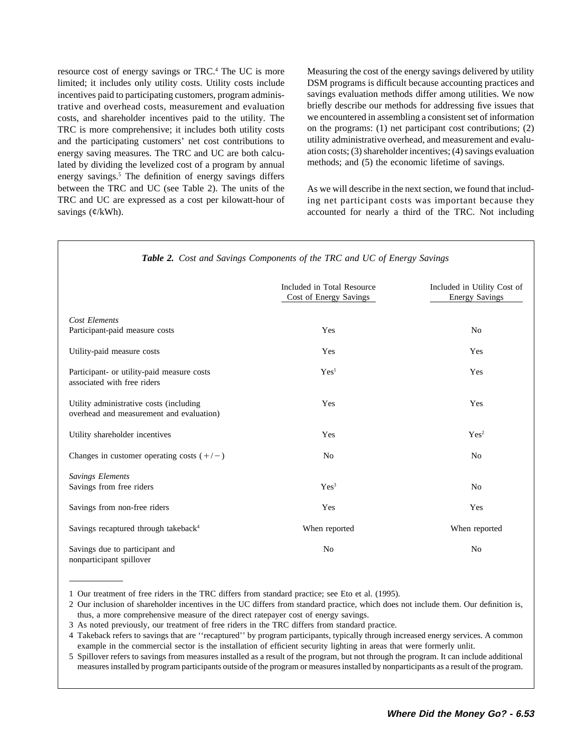limited; it includes only utility costs. Utility costs include DSM programs is difficult because accounting practices and incentives paid to participating customers, program adminis-<br>savings evaluation methods differ among utilities. We now trative and overhead costs, measurement and evaluation briefly describe our methods for addressing five issues that costs, and shareholder incentives paid to the utility. The we encountered in assembling a consistent set of information TRC is more comprehensive; it includes both utility costs on the programs: (1) net participant cost contributions; (2) and the participating customers' net cost contributions to utility administrative overhead, and measure and the participating customers' net cost contributions to energy saving measures. The TRC and UC are both calcu-<br>lated by dividing the levelized cost of a program by annual methods; and (5) the economic lifetime of savings. lated by dividing the levelized cost of a program by annual energy savings.<sup>5</sup> The definition of energy savings differs between the TRC and UC (see Table 2). The units of the As we will describe in the next section, we found that includ-TRC and UC are expressed as a cost per kilowatt-hour of ing net participant costs was important because they savings  $(\mathcal{C}/kWh)$ . accounted for nearly a third of the TRC. Not including

resource cost of energy savings or TRC.4 The UC is more Measuring the cost of the energy savings delivered by utility

|                                                                                     | Included in Total Resource<br>Cost of Energy Savings | Included in Utility Cost of<br><b>Energy Savings</b> |
|-------------------------------------------------------------------------------------|------------------------------------------------------|------------------------------------------------------|
| Cost Elements<br>Participant-paid measure costs                                     | Yes                                                  | N <sub>0</sub>                                       |
| Utility-paid measure costs                                                          | Yes                                                  | Yes                                                  |
| Participant- or utility-paid measure costs<br>associated with free riders           | Yes <sup>1</sup>                                     | Yes                                                  |
| Utility administrative costs (including<br>overhead and measurement and evaluation) | Yes                                                  | Yes                                                  |
| Utility shareholder incentives                                                      | Yes                                                  | Yes <sup>2</sup>                                     |
| Changes in customer operating costs $(+/-)$                                         | N <sub>0</sub>                                       | N <sub>0</sub>                                       |
| <b>Savings Elements</b><br>Savings from free riders                                 | Yes <sup>3</sup>                                     | N <sub>0</sub>                                       |
| Savings from non-free riders                                                        | Yes                                                  | Yes                                                  |
| Savings recaptured through takeback <sup>4</sup>                                    | When reported                                        | When reported                                        |
| Savings due to participant and<br>nonparticipant spillover                          | No                                                   | N <sub>o</sub>                                       |

*Table 2. Cost and Savings Components of the TRC and UC of Energy Savings*

<sup>1</sup> Our treatment of free riders in the TRC differs from standard practice; see Eto et al. (1995).

<sup>2</sup> Our inclusion of shareholder incentives in the UC differs from standard practice, which does not include them. Our definition is, thus, a more comprehensive measure of the direct ratepayer cost of energy savings.

<sup>3</sup> As noted previously, our treatment of free riders in the TRC differs from standard practice.

<sup>4</sup> Takeback refers to savings that are ''recaptured'' by program participants, typically through increased energy services. A common example in the commercial sector is the installation of efficient security lighting in areas that were formerly unlit.

<sup>5</sup> Spillover refers to savings from measures installed as a result of the program, but not through the program. It can include additional measures installed by program participants outside of the program or measures installed by nonparticipants as a result of the program.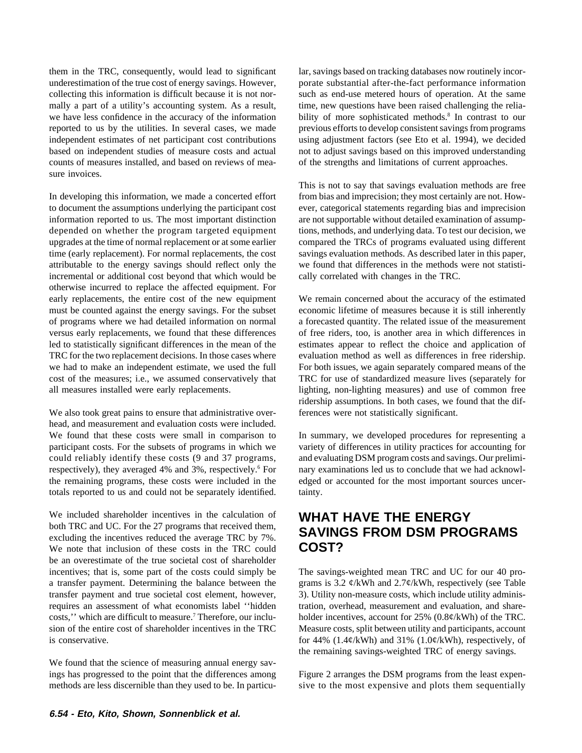them in the TRC, consequently, would lead to significant lar, savings based on tracking databases now routinely incorunderestimation of the true cost of energy savings. However, porate substantial after-the-fact performance information collecting this information is difficult because it is not nor- such as end-use metered hours of operation. At the same mally a part of a utility's accounting system. As a result, time, new questions have been raised challenging the reliawe have less confidence in the accuracy of the information bility of more sophisticated methods.<sup>8</sup> In contrast to our reported to us by the utilities. In several cases, we made previous efforts to develop consistent savings from programs independent estimates of net participant cost contributions using adjustment factors (see Eto et al. 1994), we decided based on independent studies of measure costs and actual not to adjust savings based on this improved understanding<br>counts of measures installed, and based on reviews of mea-<br>of the strengths and limitations of current app sure invoices.

In developing this information, we made a concerted effort from bias and imprecision; they most certainly are not. Howto document the assumptions underlying the participant cost ever, categorical statements regarding bias and imprecision information reported to us. The most important distinction are not supportable without detailed examination of assumpdepended on whether the program targeted equipment tions, methods, and underlying data. To test our decision, we upgrades at the time of normal replacement or at some earlier compared the TRCs of programs evaluated using different time (early replacement). For normal replacements, the cost savings evaluation methods. As described later in this paper, attributable to the energy savings should reflect only the we found that differences in the methods were not statistiincremental or additional cost beyond that which would be cally correlated with changes in the TRC. otherwise incurred to replace the affected equipment. For early replacements, the entire cost of the new equipment We remain concerned about the accuracy of the estimated must be counted against the energy savings. For the subset economic lifetime of measures because it is still inherently of programs where we had detailed information on normal a forecasted quantity. The related issue of the measurement versus early replacements, we found that these differences of free riders, too, is another area in which differences in led to statistically significant differences in the mean of the estimates appear to reflect the choice and application of TRC for the two replacement decisions. In those cases where evaluation method as well as differences in free ridership. we had to make an independent estimate, we used the full For both issues, we again separately compared means of the cost of the measures; i.e., we assumed conservatively that TRC for use of standardized measure lives (separately for all measures installed were early replacements. lighting, non-lighting measures) and use of common free

We also took great pains to ensure that administrative over-<br>ferences were not statistically significant. head, and measurement and evaluation costs were included. We found that these costs were small in comparison to In summary, we developed procedures for representing a participant costs. For the subsets of programs in which we variety of differences in utility practices for accounting for could reliably identify these costs (9 and 37 programs, and evaluating DSM program costs and savings. Our prelimirespectively), they averaged 4% and 3%, respectively.<sup>6</sup> For nary examinations led us to conclude that we had acknowlthe remaining programs, these costs were included in the edged or accounted for the most important sources uncertotals reported to us and could not be separately identified. tainty.

We included shareholder incentives in the calculation of **WHAT HAVE THE ENERGY** both TRC and UC. For the 27 programs that received them, both TRC and OC. For the 27 programs that received them,<br>excluding the incentives reduced the average TRC by 7%.<br>We note that inclusion of these costs in the TRC could<br>**COST?** We note that inclusion of these costs in the TRC could be an overestimate of the true societal cost of shareholder incentives; that is, some part of the costs could simply be The savings-weighted mean TRC and UC for our 40 proa transfer payment. Determining the balance between the grams is  $3.2 \frac{\phi}{kWh}$  and  $2.7\phi/kWh$ , respectively (see Table transfer payment and true societal cost element, however, 3). Utility non-measure costs, which include utility adminisrequires an assessment of what economists label ''hidden tration, overhead, measurement and evaluation, and sharecosts," which are difficult to measure.<sup>7</sup> Therefore, our inclu-<br>holder incentives, account for 25% (0.8¢/kWh) of the TRC. sion of the entire cost of shareholder incentives in the TRC Measure costs, split between utility and participants, account is conservative. for 44% (1.4 $\epsilon/kWh$ ) and 31% (1.0 $\epsilon/kWh$ ), respectively, of

We found that the science of measuring annual energy savings has progressed to the point that the differences among Figure 2 arranges the DSM programs from the least expen-

of the strengths and limitations of current approaches.

This is not to say that savings evaluation methods are free

ridership assumptions. In both cases, we found that the dif-

the remaining savings-weighted TRC of energy savings.

methods are less discernible than they used to be. In particu- sive to the most expensive and plots them sequentially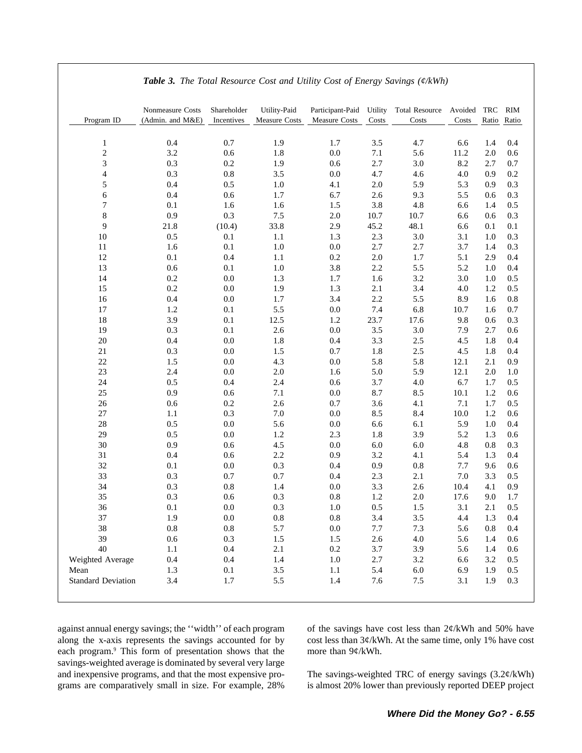| Program ID                     | Nonmeasure Costs<br>(Admin. and M&E) | Shareholder<br>Incentives | Utility-Paid<br><b>Measure Costs</b> | Participant-Paid<br>Measure Costs | Utility<br>Costs | <b>Total Resource</b><br>Costs | Avoided<br>Costs | TRC            | RIM<br>Ratio Ratio |
|--------------------------------|--------------------------------------|---------------------------|--------------------------------------|-----------------------------------|------------------|--------------------------------|------------------|----------------|--------------------|
|                                |                                      |                           |                                      |                                   |                  |                                |                  |                |                    |
| $\mathbf{1}$<br>$\overline{c}$ | 0.4<br>3.2                           | 0.7<br>0.6                | 1.9<br>1.8                           | 1.7<br>$0.0\,$                    | 3.5<br>$7.1\,$   | 4.7<br>5.6                     | 6.6<br>11.2      | 1.4<br>2.0     | 0.4<br>0.6         |
| 3                              | 0.3                                  | 0.2                       | 1.9                                  | 0.6                               | 2.7              | 3.0                            | 8.2              | 2.7            | 0.7                |
| $\overline{4}$                 | 0.3                                  | $0.8\,$                   | 3.5                                  | $0.0\,$                           | 4.7              | 4.6                            | 4.0              | 0.9            | 0.2                |
| 5                              | 0.4                                  | 0.5                       | $1.0\,$                              | 4.1                               | 2.0              | 5.9                            | 5.3              | 0.9            | 0.3                |
| 6                              | 0.4                                  | 0.6                       | 1.7                                  | 6.7                               | 2.6              | 9.3                            | 5.5              | 0.6            | 0.3                |
| 7                              | 0.1                                  | 1.6                       | 1.6                                  | 1.5                               | 3.8              | 4.8                            | 6.6              | 1.4            | 0.5                |
| 8                              | 0.9                                  | 0.3                       | 7.5                                  | $2.0\,$                           | 10.7             | 10.7                           | 6.6              | 0.6            | 0.3                |
| 9                              | 21.8                                 | (10.4)                    | 33.8                                 | 2.9                               | 45.2             | 48.1                           | 6.6              | 0.1            | 0.1                |
| $10\,$                         | 0.5                                  | 0.1                       | 1.1                                  | 1.3                               | 2.3              | 3.0                            | 3.1              | 1.0            | 0.3                |
| 11                             | 1.6                                  | 0.1                       | 1.0                                  | 0.0                               | 2.7              | 2.7                            | 3.7              | 1.4            | 0.3                |
| 12                             | 0.1                                  | 0.4                       | 1.1                                  | 0.2                               | 2.0              | 1.7                            | 5.1              | 2.9            | 0.4                |
| 13                             | 0.6<br>0.2                           | 0.1<br>$0.0\,$            | 1.0                                  | 3.8                               | 2.2              | 5.5<br>3.2                     | 5.2              | 1.0<br>1.0     | 0.4                |
| 14<br>15                       | 0.2                                  | 0.0                       | 1.3<br>1.9                           | 1.7<br>1.3                        | 1.6<br>2.1       | 3.4                            | 3.0<br>4.0       | 1.2            | 0.5<br>0.5         |
| 16                             | 0.4                                  | $0.0\,$                   | 1.7                                  | 3.4                               | 2.2              | 5.5                            | 8.9              | 1.6            | 0.8                |
| $17\,$                         | 1.2                                  | 0.1                       | 5.5                                  | $0.0\,$                           | 7.4              | 6.8                            | 10.7             | 1.6            | 0.7                |
| 18                             | 3.9                                  | 0.1                       | 12.5                                 | 1.2                               | 23.7             | 17.6                           | 9.8              | 0.6            | 0.3                |
| 19                             | 0.3                                  | 0.1                       | $2.6\,$                              | $0.0\,$                           | 3.5              | $3.0\,$                        | 7.9              | 2.7            | 0.6                |
| 20                             | 0.4                                  | 0.0                       | 1.8                                  | 0.4                               | 3.3              | $2.5\,$                        | 4.5              | 1.8            | 0.4                |
| 21                             | 0.3                                  | 0.0                       | 1.5                                  | 0.7                               | 1.8              | $2.5\,$                        | 4.5              | 1.8            | 0.4                |
| 22                             | 1.5                                  | $0.0\,$                   | 4.3                                  | $0.0\,$                           | 5.8              | 5.8                            | 12.1             | 2.1            | 0.9                |
| 23                             | 2.4                                  | 0.0                       | $2.0\,$                              | 1.6                               | 5.0              | 5.9                            | 12.1             | 2.0            | 1.0                |
| 24                             | 0.5                                  | 0.4                       | 2.4                                  | 0.6                               | 3.7              | 4.0                            | 6.7              | 1.7            | 0.5                |
| 25                             | 0.9                                  | 0.6                       | 7.1                                  | 0.0                               | 8.7              | 8.5                            | 10.1             | 1.2            | 0.6                |
| 26                             | 0.6                                  | 0.2                       | 2.6                                  | 0.7                               | 3.6              | 4.1                            | 7.1              | 1.7            | 0.5                |
| 27                             | 1.1                                  | 0.3                       | 7.0                                  | 0.0                               | 8.5              | 8.4                            | 10.0             | 1.2            | 0.6                |
| 28<br>29                       | 0.5<br>0.5                           | $0.0\,$<br>$0.0\,$        | 5.6<br>1.2                           | $0.0\,$<br>2.3                    | 6.6              | 6.1<br>3.9                     | 5.9              | $1.0\,$<br>1.3 | 0.4                |
| 30                             | 0.9                                  | 0.6                       | 4.5                                  | 0.0                               | 1.8<br>6.0       | $6.0\,$                        | 5.2<br>4.8       | 0.8            | 0.6<br>0.3         |
| 31                             | 0.4                                  | 0.6                       | 2.2                                  | 0.9                               | 3.2              | 4.1                            | 5.4              | 1.3            | 0.4                |
| 32                             | 0.1                                  | 0.0                       | 0.3                                  | 0.4                               | 0.9              | $0.8\,$                        | 7.7              | 9.6            | 0.6                |
| 33                             | 0.3                                  | 0.7                       | 0.7                                  | 0.4                               | 2.3              | 2.1                            | 7.0              | 3.3            | 0.5                |
| 34                             | 0.3                                  | $0.8\,$                   | 1.4                                  | 0.0                               | 3.3              | 2.6                            | 10.4             | 4.1            | 0.9                |
| 35                             | 0.3                                  | 0.6                       | 0.3                                  | 0.8                               | 1.2              | $2.0\,$                        | 17.6             | 9.0            | 1.7                |
| 36                             | 0.1                                  | $0.0\,$                   | 0.3                                  | 1.0                               | 0.5              | 1.5                            | 3.1              | 2.1            | 0.5                |
| 37                             | 1.9                                  | 0.0                       | 0.8                                  | 0.8                               | 3.4              | $3.5$                          | 4.4              | 1.3            | 0.4                |
| 38                             | 0.8                                  | 0.8                       | 5.7                                  | 0.0                               | 7.7              | 7.3                            | 5.6              | 0.8            | 0.4                |
| 39                             | $0.6\,$                              | 0.3                       | 1.5                                  | 1.5                               | $2.6\,$          | $4.0\,$                        | 5.6              | 1.4            | 0.6                |
| 40                             | 1.1                                  | 0.4                       | 2.1                                  | $0.2\,$                           | 3.7              | 3.9                            | 5.6              | 1.4            | 0.6                |
| Weighted Average               | 0.4                                  | 0.4                       | 1.4                                  | $1.0\,$                           | 2.7              | $3.2\,$                        | 6.6              | 3.2            | 0.5                |
| Mean                           | 1.3                                  | 0.1                       | 3.5                                  | 1.1                               | 5.4              | $6.0\,$                        | 6.9              | 1.9            | 0.5                |
| <b>Standard Deviation</b>      | 3.4                                  | 1.7                       | 5.5                                  | 1.4                               | 7.6              | 7.5                            | 3.1              | 1.9            | 0.3                |

*Table 3. The Total Resource Cost and Utility Cost of Energy Savings (¢/kWh)*

along the x-axis represents the savings accounted for by cost less than  $3¢/kWh$ . At the same time, only 1% have cost each program.<sup>9</sup> This form of presentation shows that the more than  $9¢/kWh$ . savings-weighted average is dominated by several very large and inexpensive programs, and that the most expensive pro-<br>The savings-weighted TRC of energy savings (3.2¢/kWh) grams are comparatively small in size. For example, 28% is almost 20% lower than previously reported DEEP project

against annual energy savings; the "width" of each program of the savings have cost less than 2¢/kWh and 50% have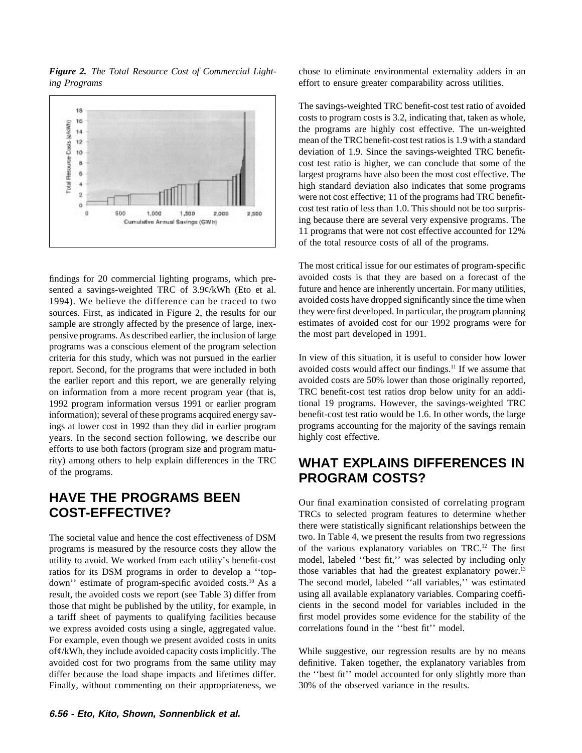

*Figure 2. The Total Resource Cost of Commercial Light-* chose to eliminate environmental externality adders in an *ing Programs* effort to ensure greater comparability across utilities.

sented a savings-weighted TRC of 3.9¢/kWh (Eto et al. future and hence are inherently uncertain. For many utilities, 1994). We believe the difference can be traced to two avoided costs have dropped significantly since the time when sources. First, as indicated in Figure 2, the results for our they were first developed. In particular, the program planning sample are strongly affected by the presence of large, inex-<br>
persimates of avoided cost for our 1992 programs were for<br>
pensive programs. As described earlier, the inclusion of large<br>
the most part developed in 1991. pensive programs. As described earlier, the inclusion of large programs was a conscious element of the program selection criteria for this study, which was not pursued in the earlier In view of this situation, it is useful to consider how lower<br>report. Second, for the programs that were included in both avoided costs would affect our finding report. Second, for the programs that were included in both years. In the second section following, we describe our highly cost effective. efforts to use both factors (program size and program maturity) among others to help explain differences in the TRC **WHAT EXPLAINS DIFFERENCES IN**

# **HAVE THE PROGRAMS BEEN**<br>
Our final examination consisted of correlating program<br>
TRCs to selected program features to determine whether

programs is measured by the resource costs they allow the of the various explanatory variables on TRC.<sup>12</sup> The first utility to avoid. We worked from each utility's benefit-cost model, labeled "best fit," was selected by i utility to avoid. We worked from each utility's benefit-cost model, labeled "best fit," was selected by including only ratios for its DSM programs in order to develop a "top-<br>those variables that had the greatest explanato ratios for its DSM programs in order to develop a "top-<br>down" estimate of program-specific avoided costs.<sup>10</sup> As a The second model, labeled "all variables," was estimated down'' estimate of program-specific avoided costs.<sup>10</sup> As a The second model, labeled "all variables," was estimated result, the avoided costs we report (see Table 3) differ from using all available explanatory variables. result, the avoided costs we report (see Table 3) differ from those that might be published by the utility, for example, in cients in the second model for variables included in the a tariff sheet of payments to qualifying facilities because first model provides some evidence for the stability of the we express avoided costs using a single, aggregated value. correlations found in the "best fit" model. For example, even though we present avoided costs in units of¢/kWh, they include avoided capacity costs implicitly. The While suggestive, our regression results are by no means avoided cost for two programs from the same utility may definitive. Taken together, the explanatory variables from differ because the load shape impacts and lifetimes differ. the "best fit" model accounted for only slightly more than Finally, without commenting on their appropriateness, we 30% of the observed variance in the results.

The savings-weighted TRC benefit-cost test ratio of avoided costs to program costs is 3.2, indicating that, taken as whole, the programs are highly cost effective. The un-weighted mean of the TRC benefit-cost test ratios is 1.9 with a standard deviation of 1.9. Since the savings-weighted TRC benefitcost test ratio is higher, we can conclude that some of the largest programs have also been the most cost effective. The high standard deviation also indicates that some programs were not cost effective; 11 of the programs had TRC benefitcost test ratio of less than 1.0. This should not be too surprising because there are several very expensive programs. The 11 programs that were not cost effective accounted for 12% of the total resource costs of all of the programs.

The most critical issue for our estimates of program-specific findings for 20 commercial lighting programs, which pre- avoided costs is that they are based on a forecast of the

the earlier report and this report, we are generally relying avoided costs are 50% lower than those originally reported, on information from a more recent program year (that is, TRC benefit-cost test ratios drop below unity for an addi-1992 program information versus 1991 or earlier program tional 19 programs. However, the savings-weighted TRC information); several of these programs acquired energy sav- benefit-cost test ratio would be 1.6. In other words, the large ings at lower cost in 1992 than they did in earlier program programs accounting for the majority of the savings remain

# **PROGRAM COSTS?**

TRCs to selected program features to determine whether there were statistically significant relationships between the The societal value and hence the cost effectiveness of DSM two. In Table 4, we present the results from two regressions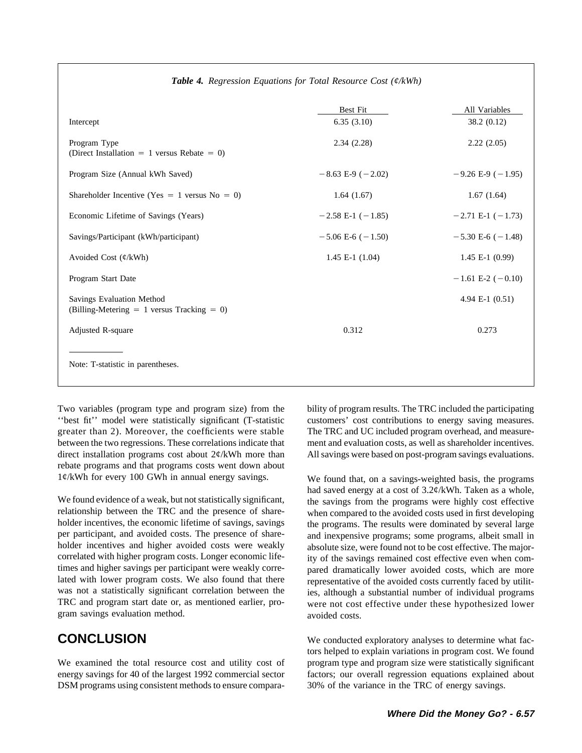| Intercept                                                                    | Best Fit<br>6.35(3.10)  | All Variables<br>38.2 (0.12) |
|------------------------------------------------------------------------------|-------------------------|------------------------------|
| Program Type<br>(Direct Installation = 1 versus Rebate = 0)                  | 2.34(2.28)              | 2.22(2.05)                   |
| Program Size (Annual kWh Saved)                                              | $-8.63$ E-9 ( $-2.02$ ) | $-9.26$ E-9 ( $-1.95$ )      |
| Shareholder Incentive (Yes = 1 versus $No = 0$ )                             | 1.64(1.67)              | 1.67(1.64)                   |
| Economic Lifetime of Savings (Years)                                         | $-2.58$ E-1 ( $-1.85$ ) | $-2.71$ E-1 ( $-1.73$ )      |
| Savings/Participant (kWh/participant)                                        | $-5.06$ E-6 ( $-1.50$ ) | $-5.30 E-6 (-1.48)$          |
| Avoided Cost $(\phi/kWh)$                                                    | $1.45$ E-1 $(1.04)$     | $1.45$ E-1 $(0.99)$          |
| Program Start Date                                                           |                         | $-1.61$ E-2 ( $-0.10$ )      |
| Savings Evaluation Method<br>(Billing-Metering $= 1$ versus Tracking $= 0$ ) |                         | 4.94 E-1 $(0.51)$            |
| Adjusted R-square                                                            | 0.312                   | 0.273                        |
| Note: T-statistic in parentheses.                                            |                         |                              |

## *Table 4. Regression Equations for Total Resource Cost (¢/kWh)*

''best fit'' model were statistically significant (T-statistic customers' cost contributions to energy saving measures. greater than 2). Moreover, the coefficients were stable The TRC and UC included program overhead, and measurebetween the two regressions. These correlations indicate that ment and evaluation costs, as well as shareholder incentives. direct installation programs cost about 2¢/kWh more than All savings were based on post-program savings evaluations. rebate programs and that programs costs went down about 1¢/kWh for every 100 GWh in annual energy savings. We found that, on a savings-weighted basis, the programs

We found evidence of a weak, but not statistically significant, the savings from the programs were highly cost effective relationship between the TRC and the presence of share-<br>when compared to the avoided costs used in fi holder incentives, the economic lifetime of savings, savings the programs. The results were dominated by several large per participant, and avoided costs. The presence of share-<br>holder incentives and higher avoided costs were weakly<br>absolute size were found not to be cost effective. The majorholder incentives and higher avoided costs were weakly absolute size, were found not to be cost effective. The major-<br>correlated with higher program costs. Longer economic life-<br>ity of the sayings remained cost effective e correlated with higher program costs. Longer economic life-<br>times and higher savings per participant were weakly corre-<br>pared dramatically lower avoided costs, which are more times and higher savings per participant were weakly corre-<br>lated with lower program costs. We also found that there<br>representative of the avoided costs currently faced by utilitwas not a statistically significant correlation between the ies, although a substantial number of individual programs<br>TRC and program start date or, as mentioned earlier, pro-<br>were not cost effective under these hypothesiz gram savings evaluation method. And a saving avoided costs.

We examined the total resource cost and utility cost of program type and program size were statistically significant energy savings for 40 of the largest 1992 commercial sector factors; our overall regression equations explained about DSM programs using consistent methods to ensure compara- 30% of the variance in the TRC of energy savings.

Two variables (program type and program size) from the bility of program results. The TRC included the participating

had saved energy at a cost of 3.2¢/kWh. Taken as a whole, when compared to the avoided costs used in first developing representative of the avoided costs currently faced by utilitwere not cost effective under these hypothesized lower

**CONCLUSION** We conducted exploratory analyses to determine what factors helped to explain variations in program cost. We found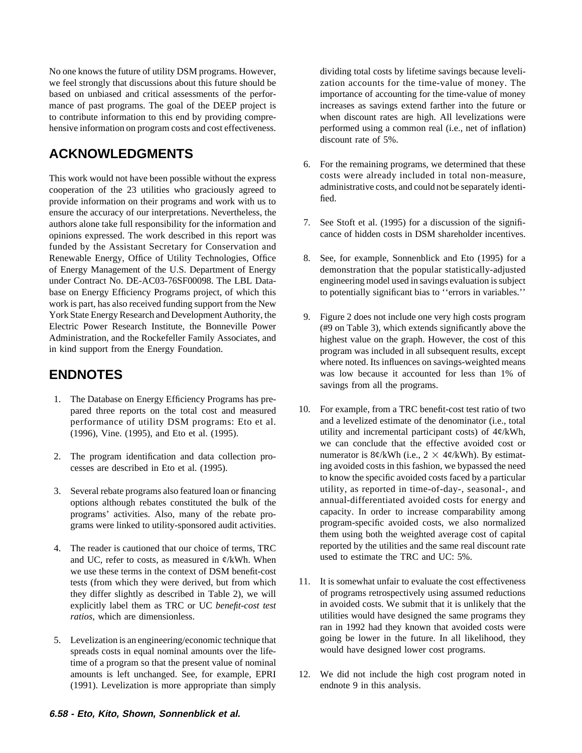No one knows the future of utility DSM programs. However, dividing total costs by lifetime savings because leveliwe feel strongly that discussions about this future should be zation accounts for the time-value of money. The based on unbiased and critical assessments of the perfor- importance of accounting for the time-value of money mance of past programs. The goal of the DEEP project is increases as savings extend farther into the future or<br>to contribute information to this end by providing compre-<br>when discount rates are high. All levelizations were to contribute information to this end by providing comprehensive information on program costs and cost effectiveness. performed using a common real (i.e., net of inflation)

## **ACKNOWLEDGMENTS**

This work would not have been possible without the express costs were already included in total non-measure, cooperation of the 23 utilities who graciously agreed to provide information on their programs and work with us t ensure the accuracy of our interpretations. Nevertheless, the authors alone take full responsibility for the information and  $\frac{7}{2}$ . See Stoft et al. (1995) for a discussion of the signifi-<br>cance of hidden costs in DSM shareholder incentives. opinions expressed. The work described in this report was funded by the Assistant Secretary for Conservation and Renewable Energy, Office of Utility Technologies, Office 8. See, for example, Sonnenblick and Eto (1995) for a of Energy Management of the U.S. Department of Energy demonstration that the popular statistically-adjusted under Contract No. DE-AC03-76SF00098. The LBL Data- engineering model used in savings evaluation is subject base on Energy Efficiency Programs project, of which this to potentially significant bias to 'errors in variables.'' work is part, has also received funding support from the New York State Energy Research and Development Authority, the 9. Figure 2 does not include one very high costs program<br>Electric Power Research Institute, the Bonneville Power (#9 on Table 3) which extends significantly above t Electric Power Research Institute, the Bonneville Power (#9 on Table 3), which extends significantly above the Administration, and the Rockefeller Family Associates, and highest value on the graph However the cost of this Administration, and the Rockefeller Family Associates, and highest value on the graph. However, the cost of this in kind support from the Energy Foundation.

- 1. The Database on Energy Efficiency Programs has pre-(1996), Vine. (1995), and Eto et al. (1995).
- 
- grams were linked to utility-sponsored audit activities.
- and UC, refer to costs, as measured in  $\phi$ /kWh. When we use these terms in the context of DSM benefit-cost
- spreads costs in equal nominal amounts over the lifetime of a program so that the present value of nominal amounts is left unchanged. See, for example, EPRI 12. We did not include the high cost program noted in (1991). Levelization is more appropriate than simply endnote 9 in this analysis.

discount rate of 5%.

- 6. For the remaining programs, we determined that these
- 
- 
- program was included in all subsequent results, except where noted. Its influences on savings-weighted means **ENDNOTES** was low because it accounted for less than 1% of savings from all the programs.
- pared three reports on the total cost and measured 10. For example, from a TRC benefit-cost test ratio of two<br>nerformance of utility DSM programs: Fto et al all a levelized estimate of the denominator (i.e., total performance of utility DSM programs: Eto et al. and a levelized estimate of the denominator (i.e., total utility and incremental participant costs) of  $4\ell/kWh$ , we can conclude that the effective avoided cost or 2. The program identification and data collection pro-<br>numerator is  $8¢/kWh$  (i.e.,  $2 \times 4¢/kWh$ ). By estimatcesses are described in Eto et al. (1995). ing avoided costs in this fashion, we bypassed the need to know the specific avoided costs faced by a particular 3. Several rebate programs also featured loan or financing utility, as reported in time-of-day-, seasonal-, and options although rebates constituted the bulk of the annual-differentiated avoided costs for energy and options although rebates constituted the bulk of the annual-differentiated avoided costs for energy and options also many of the rebate pro-<br>capacity. In order to increase comparability among programs' activities. Also, many of the rebate pro-<br>
program-specific avoided costs, we also normalized<br>
program-specific avoided costs, we also normalized them using both the weighted average cost of capital 4. The reader is cautioned that our choice of terms, TRC reported by the utilities and the same real discount rate  $\text{and } \text{UC}$  refer to costs, as measured in  $d/\text{EVA}$ . When used to estimate the TRC and UC: 5%.
- tests (from which they were derived, but from which 11. It is somewhat unfair to evaluate the cost effectiveness they differ slightly as described in Table 2), we will of programs retrospectively using assumed reductions explicitly label them as TRC or UC *benefit-cost test* in avoided costs. We submit that it is unlikely that the *ratios*, which are dimensionless. The same programs they utilities would have designed the same programs they ran in 1992 had they known that avoided costs were 5. Levelization is an engineering/economic technique that going be lower in the future. In all likelihood, they spreads costs in equal nominal amounts over the life-<br>would have designed lower cost programs.
	-